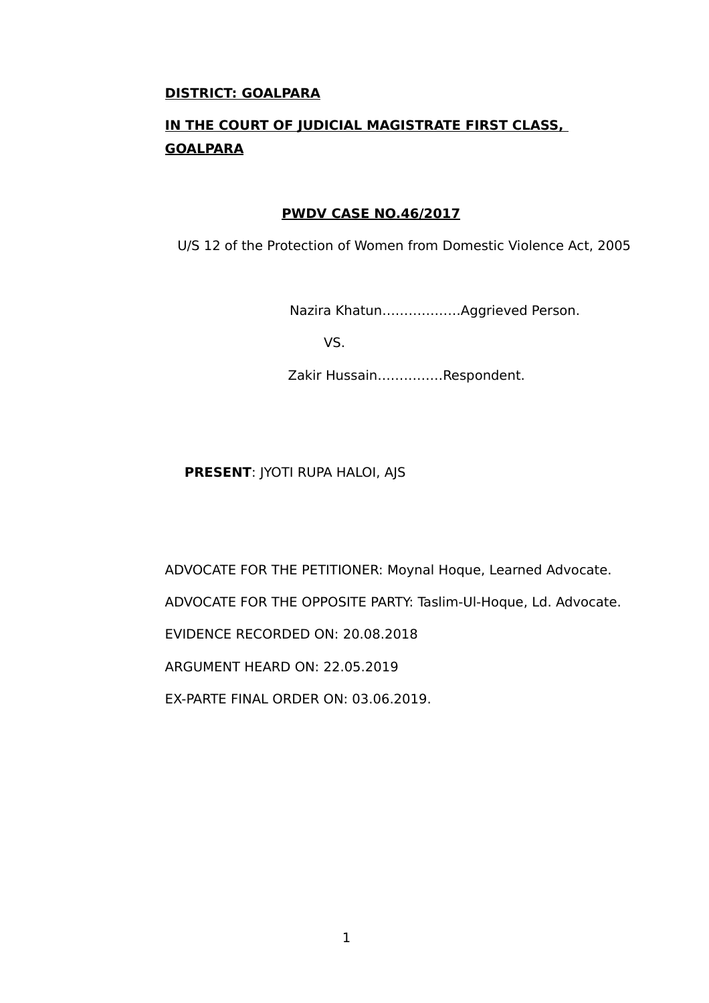### **DISTRICT: GOALPARA**

# **IN THE COURT OF JUDICIAL MAGISTRATE FIRST CLASS, GOALPARA**

### **PWDV CASE NO.46/2017**

U/S 12 of the Protection of Women from Domestic Violence Act, 2005

Nazira Khatun………………Aggrieved Person.

VS.

Zakir Hussain……………Respondent.

# **PRESENT**: JYOTI RUPA HALOI, AJS

ADVOCATE FOR THE PETITIONER: Moynal Hoque, Learned Advocate. ADVOCATE FOR THE OPPOSITE PARTY: Taslim-Ul-Hoque, Ld. Advocate. EVIDENCE RECORDED ON: 20.08.2018 ARGUMENT HEARD ON: 22.05.2019 EX-PARTE FINAL ORDER ON: 03.06.2019.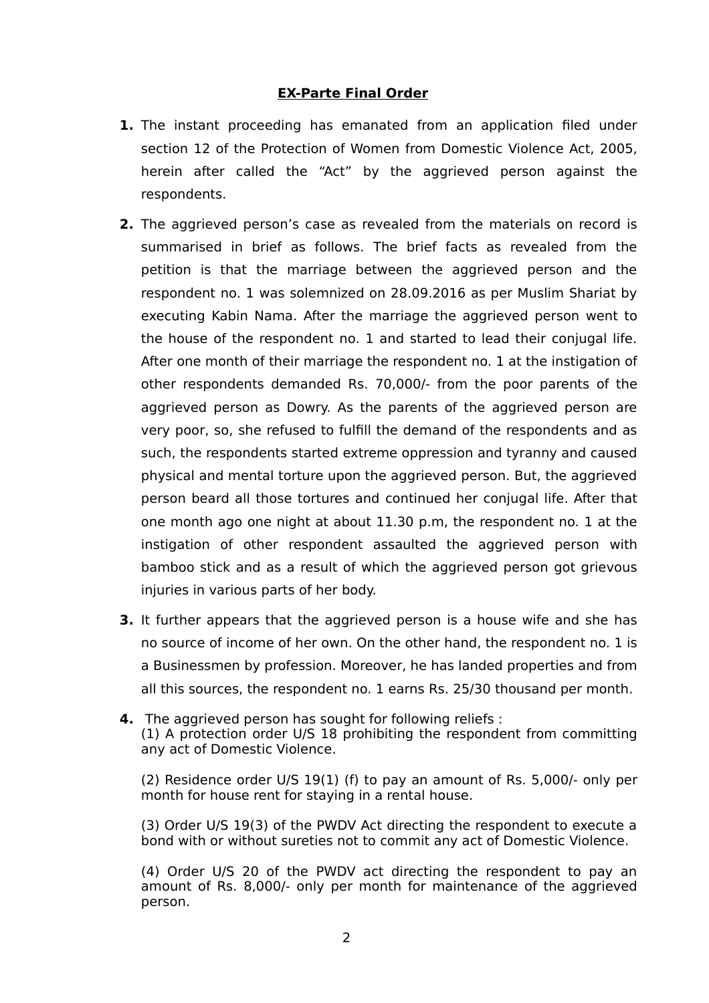# **EX-Parte Final Order**

- **1.** The instant proceeding has emanated from an application filed under section 12 of the Protection of Women from Domestic Violence Act, 2005, herein after called the "Act" by the aggrieved person against the respondents.
- **2.** The aggrieved person's case as revealed from the materials on record is summarised in brief as follows. The brief facts as revealed from the petition is that the marriage between the aggrieved person and the respondent no. 1 was solemnized on 28.09.2016 as per Muslim Shariat by executing Kabin Nama. After the marriage the aggrieved person went to the house of the respondent no. 1 and started to lead their conjugal life. After one month of their marriage the respondent no. 1 at the instigation of other respondents demanded Rs. 70,000/- from the poor parents of the aggrieved person as Dowry. As the parents of the aggrieved person are very poor, so, she refused to fulfill the demand of the respondents and as such, the respondents started extreme oppression and tyranny and caused physical and mental torture upon the aggrieved person. But, the aggrieved person beard all those tortures and continued her conjugal life. After that one month ago one night at about 11.30 p.m, the respondent no. 1 at the instigation of other respondent assaulted the aggrieved person with bamboo stick and as a result of which the aggrieved person got grievous injuries in various parts of her body.
- **3.** It further appears that the aggrieved person is a house wife and she has no source of income of her own. On the other hand, the respondent no. 1 is a Businessmen by profession. Moreover, he has landed properties and from all this sources, the respondent no. 1 earns Rs. 25/30 thousand per month.
- **4.** The aggrieved person has sought for following reliefs : (1) A protection order U/S 18 prohibiting the respondent from committing any act of Domestic Violence.

(2) Residence order U/S 19(1) (f) to pay an amount of Rs. 5,000/- only per month for house rent for staying in a rental house.

(3) Order U/S 19(3) of the PWDV Act directing the respondent to execute a bond with or without sureties not to commit any act of Domestic Violence.

(4) Order U/S 20 of the PWDV act directing the respondent to pay an amount of Rs. 8,000/- only per month for maintenance of the aggrieved person.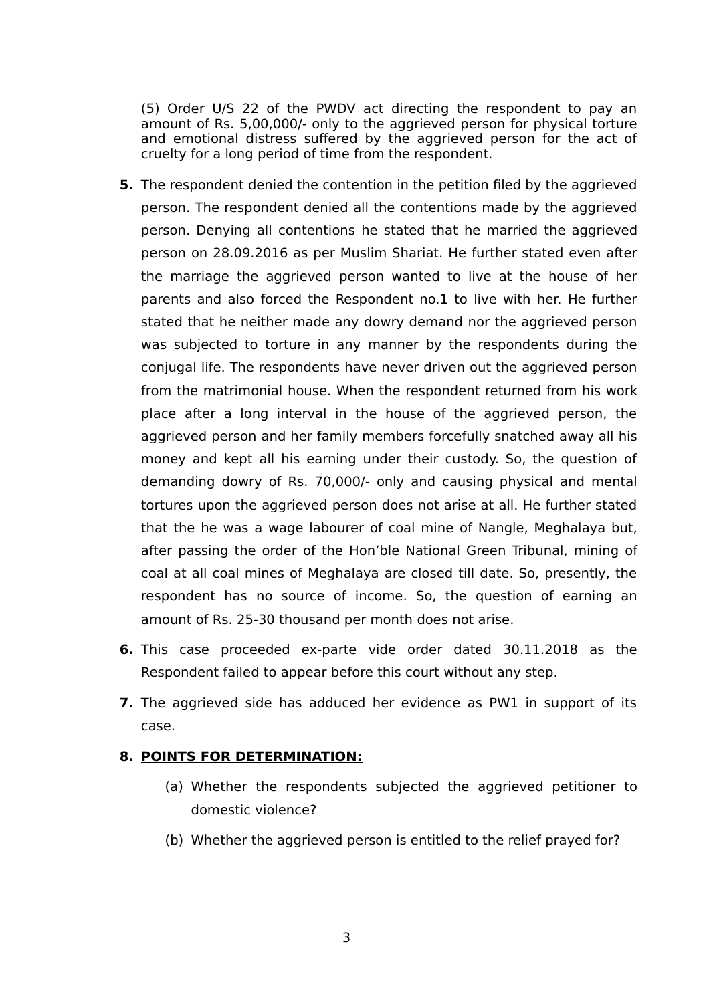(5) Order U/S 22 of the PWDV act directing the respondent to pay an amount of Rs. 5,00,000/- only to the aggrieved person for physical torture and emotional distress suffered by the aggrieved person for the act of cruelty for a long period of time from the respondent.

- **5.** The respondent denied the contention in the petition filed by the aggrieved person. The respondent denied all the contentions made by the aggrieved person. Denying all contentions he stated that he married the aggrieved person on 28.09.2016 as per Muslim Shariat. He further stated even after the marriage the aggrieved person wanted to live at the house of her parents and also forced the Respondent no.1 to live with her. He further stated that he neither made any dowry demand nor the aggrieved person was subjected to torture in any manner by the respondents during the conjugal life. The respondents have never driven out the aggrieved person from the matrimonial house. When the respondent returned from his work place after a long interval in the house of the aggrieved person, the aggrieved person and her family members forcefully snatched away all his money and kept all his earning under their custody. So, the question of demanding dowry of Rs. 70,000/- only and causing physical and mental tortures upon the aggrieved person does not arise at all. He further stated that the he was a wage labourer of coal mine of Nangle, Meghalaya but, after passing the order of the Hon'ble National Green Tribunal, mining of coal at all coal mines of Meghalaya are closed till date. So, presently, the respondent has no source of income. So, the question of earning an amount of Rs. 25-30 thousand per month does not arise.
- **6.** This case proceeded ex-parte vide order dated 30.11.2018 as the Respondent failed to appear before this court without any step.
- **7.** The aggrieved side has adduced her evidence as PW1 in support of its case.

#### **8. POINTS FOR DETERMINATION:**

- (a) Whether the respondents subjected the aggrieved petitioner to domestic violence?
- (b) Whether the aggrieved person is entitled to the relief prayed for?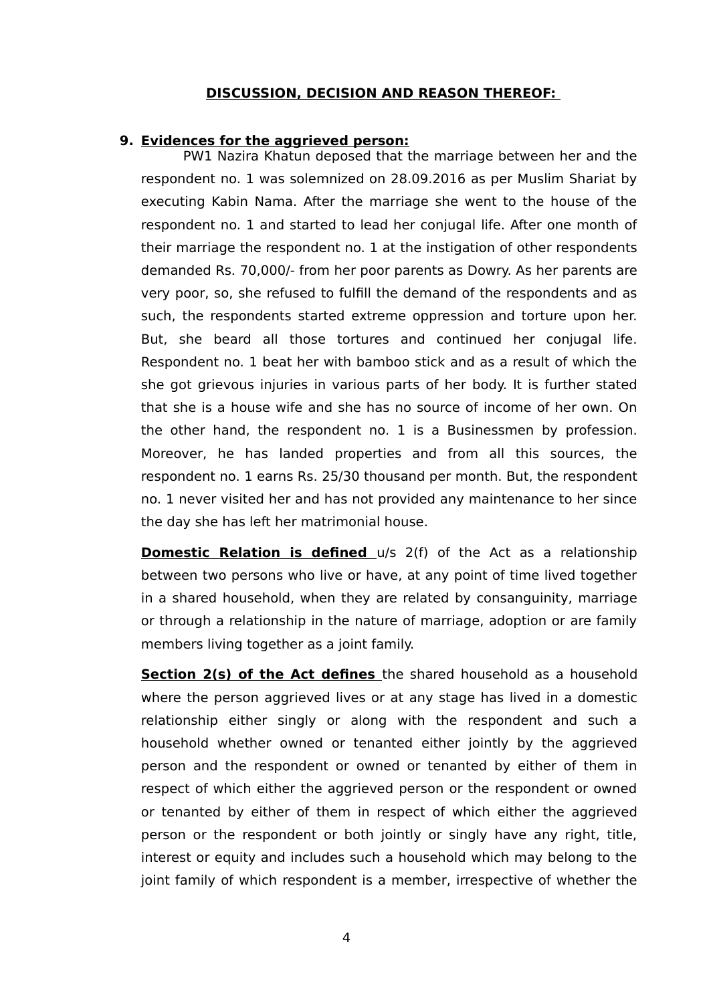#### **DISCUSSION, DECISION AND REASON THEREOF:**

#### **9. Evidences for the aggrieved person:**

PW1 Nazira Khatun deposed that the marriage between her and the respondent no. 1 was solemnized on 28.09.2016 as per Muslim Shariat by executing Kabin Nama. After the marriage she went to the house of the respondent no. 1 and started to lead her conjugal life. After one month of their marriage the respondent no. 1 at the instigation of other respondents demanded Rs. 70,000/- from her poor parents as Dowry. As her parents are very poor, so, she refused to fulfill the demand of the respondents and as such, the respondents started extreme oppression and torture upon her. But, she beard all those tortures and continued her conjugal life. Respondent no. 1 beat her with bamboo stick and as a result of which the she got grievous injuries in various parts of her body. It is further stated that she is a house wife and she has no source of income of her own. On the other hand, the respondent no. 1 is a Businessmen by profession. Moreover, he has landed properties and from all this sources, the respondent no. 1 earns Rs. 25/30 thousand per month. But, the respondent no. 1 never visited her and has not provided any maintenance to her since the day she has left her matrimonial house.

**Domestic Relation is defined** u/s 2(f) of the Act as a relationship between two persons who live or have, at any point of time lived together in a shared household, when they are related by consanguinity, marriage or through a relationship in the nature of marriage, adoption or are family members living together as a joint family.

**Section 2(s) of the Act defines** the shared household as a household where the person aggrieved lives or at any stage has lived in a domestic relationship either singly or along with the respondent and such a household whether owned or tenanted either jointly by the aggrieved person and the respondent or owned or tenanted by either of them in respect of which either the aggrieved person or the respondent or owned or tenanted by either of them in respect of which either the aggrieved person or the respondent or both jointly or singly have any right, title, interest or equity and includes such a household which may belong to the joint family of which respondent is a member, irrespective of whether the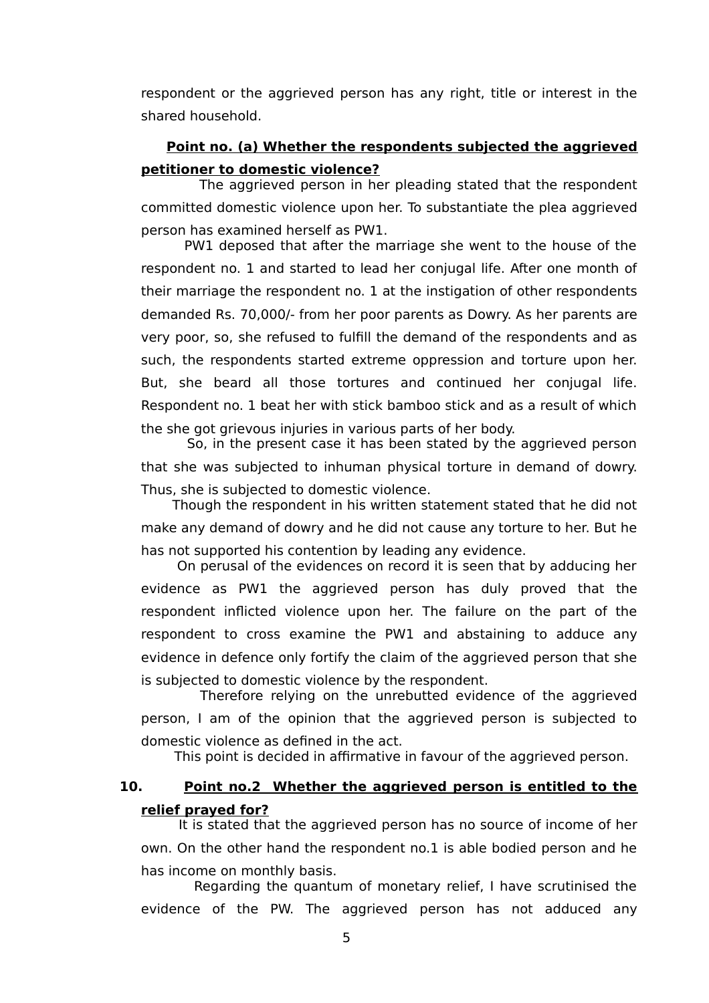respondent or the aggrieved person has any right, title or interest in the shared household.

# **Point no. (a) Whether the respondents subjected the aggrieved petitioner to domestic violence?**

The aggrieved person in her pleading stated that the respondent committed domestic violence upon her. To substantiate the plea aggrieved person has examined herself as PW1.

 PW1 deposed that after the marriage she went to the house of the respondent no. 1 and started to lead her conjugal life. After one month of their marriage the respondent no. 1 at the instigation of other respondents demanded Rs. 70,000/- from her poor parents as Dowry. As her parents are very poor, so, she refused to fulfill the demand of the respondents and as such, the respondents started extreme oppression and torture upon her. But, she beard all those tortures and continued her conjugal life. Respondent no. 1 beat her with stick bamboo stick and as a result of which the she got grievous injuries in various parts of her body.

So, in the present case it has been stated by the aggrieved person that she was subjected to inhuman physical torture in demand of dowry. Thus, she is subjected to domestic violence.

 Though the respondent in his written statement stated that he did not make any demand of dowry and he did not cause any torture to her. But he has not supported his contention by leading any evidence.

 On perusal of the evidences on record it is seen that by adducing her evidence as PW1 the aggrieved person has duly proved that the respondent inflicted violence upon her. The failure on the part of the respondent to cross examine the PW1 and abstaining to adduce any evidence in defence only fortify the claim of the aggrieved person that she is subjected to domestic violence by the respondent.

 Therefore relying on the unrebutted evidence of the aggrieved person, I am of the opinion that the aggrieved person is subjected to domestic violence as defined in the act.

This point is decided in affirmative in favour of the aggrieved person.

# **10. Point no.2 Whether the aggrieved person is entitled to the relief prayed for?**

 It is stated that the aggrieved person has no source of income of her own. On the other hand the respondent no.1 is able bodied person and he has income on monthly basis.

 Regarding the quantum of monetary relief, I have scrutinised the evidence of the PW. The aggrieved person has not adduced any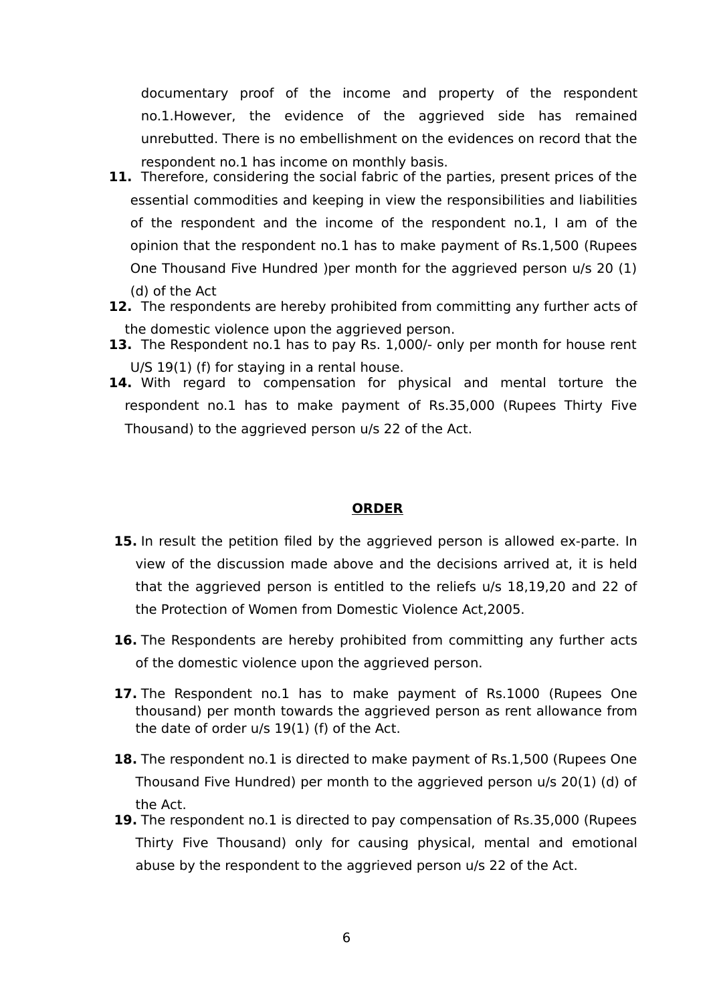documentary proof of the income and property of the respondent no.1.However, the evidence of the aggrieved side has remained unrebutted. There is no embellishment on the evidences on record that the respondent no.1 has income on monthly basis.

- **11.** Therefore, considering the social fabric of the parties, present prices of the essential commodities and keeping in view the responsibilities and liabilities of the respondent and the income of the respondent no.1, I am of the opinion that the respondent no.1 has to make payment of Rs.1,500 (Rupees One Thousand Five Hundred )per month for the aggrieved person u/s 20 (1) (d) of the Act
- **12.** The respondents are hereby prohibited from committing any further acts of the domestic violence upon the aggrieved person.
- **13.** The Respondent no.1 has to pay Rs. 1,000/- only per month for house rent U/S 19(1) (f) for staying in a rental house.
- **14.** With regard to compensation for physical and mental torture the respondent no.1 has to make payment of Rs.35,000 (Rupees Thirty Five Thousand) to the aggrieved person u/s 22 of the Act.

# **ORDER**

- **15.** In result the petition filed by the aggrieved person is allowed ex-parte. In view of the discussion made above and the decisions arrived at, it is held that the aggrieved person is entitled to the reliefs u/s 18,19,20 and 22 of the Protection of Women from Domestic Violence Act,2005.
- **16.** The Respondents are hereby prohibited from committing any further acts of the domestic violence upon the aggrieved person.
- 17. The Respondent no.1 has to make payment of Rs.1000 (Rupees One thousand) per month towards the aggrieved person as rent allowance from the date of order u/s 19(1) (f) of the Act.
- **18.** The respondent no.1 is directed to make payment of Rs.1,500 (Rupees One Thousand Five Hundred) per month to the aggrieved person u/s 20(1) (d) of the Act.
- **19.** The respondent no.1 is directed to pay compensation of Rs.35,000 (Rupees Thirty Five Thousand) only for causing physical, mental and emotional abuse by the respondent to the aggrieved person u/s 22 of the Act.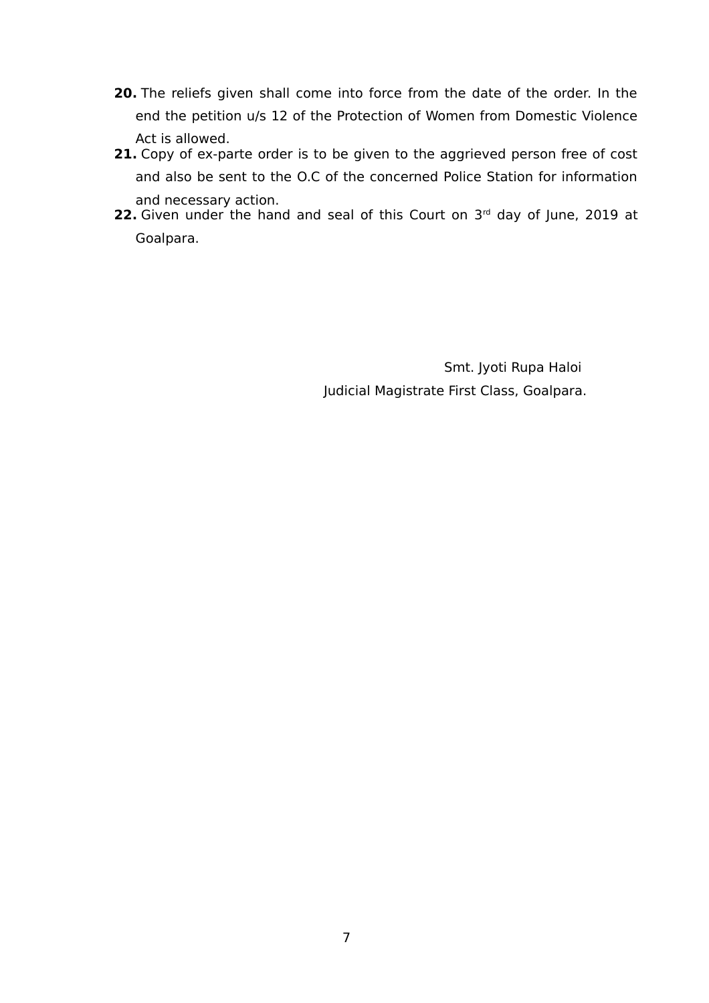- **20.** The reliefs given shall come into force from the date of the order. In the end the petition u/s 12 of the Protection of Women from Domestic Violence Act is allowed.
- **21.** Copy of ex-parte order is to be given to the aggrieved person free of cost and also be sent to the O.C of the concerned Police Station for information and necessary action.
- **22.** Given under the hand and seal of this Court on 3<sup>rd</sup> day of June, 2019 at Goalpara.

 Smt. Jyoti Rupa Haloi Judicial Magistrate First Class, Goalpara.